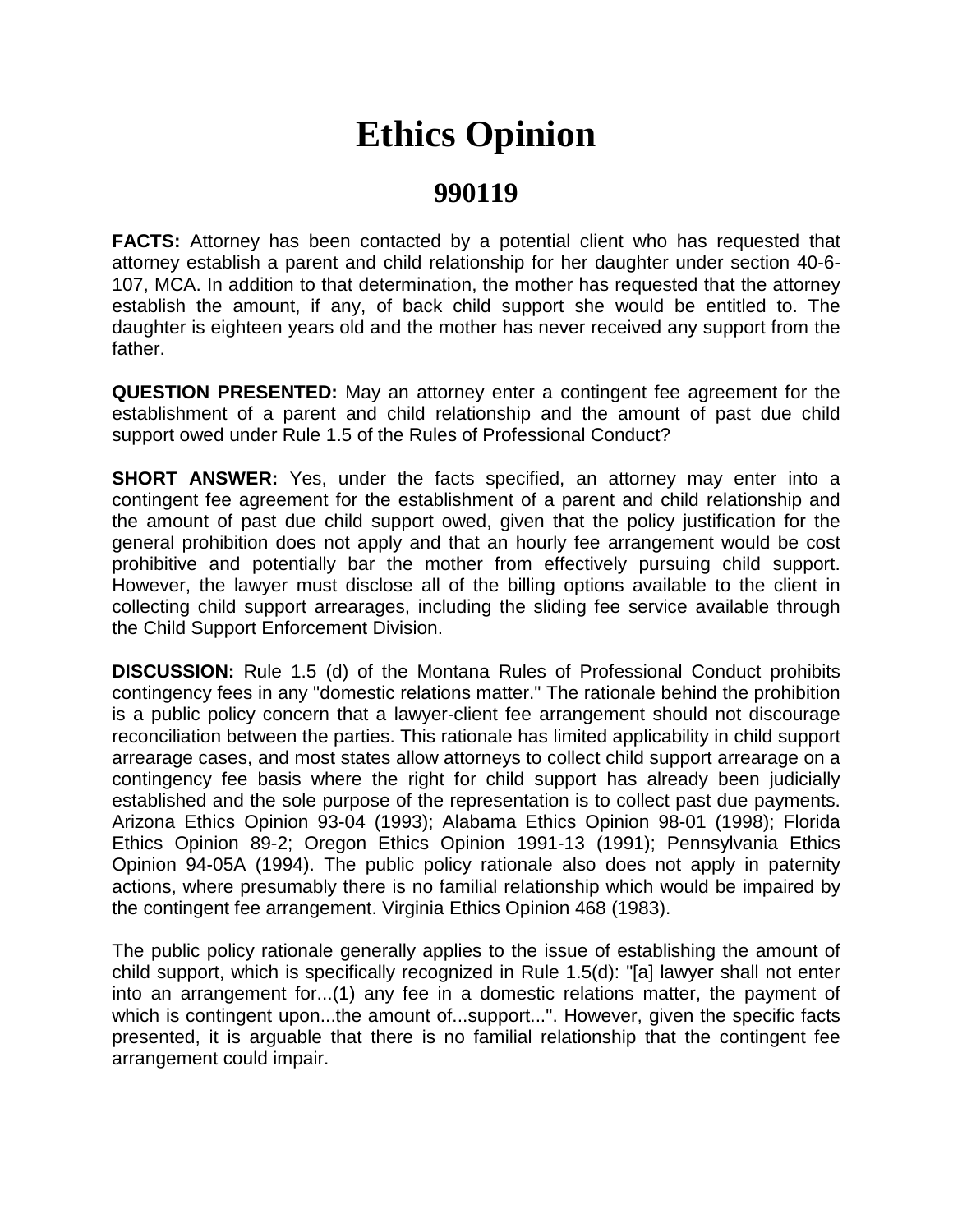## **Ethics Opinion**

## **990119**

**FACTS:** Attorney has been contacted by a potential client who has requested that attorney establish a parent and child relationship for her daughter under section 40-6- 107, MCA. In addition to that determination, the mother has requested that the attorney establish the amount, if any, of back child support she would be entitled to. The daughter is eighteen years old and the mother has never received any support from the father.

**QUESTION PRESENTED:** May an attorney enter a contingent fee agreement for the establishment of a parent and child relationship and the amount of past due child support owed under Rule 1.5 of the Rules of Professional Conduct?

**SHORT ANSWER:** Yes, under the facts specified, an attorney may enter into a contingent fee agreement for the establishment of a parent and child relationship and the amount of past due child support owed, given that the policy justification for the general prohibition does not apply and that an hourly fee arrangement would be cost prohibitive and potentially bar the mother from effectively pursuing child support. However, the lawyer must disclose all of the billing options available to the client in collecting child support arrearages, including the sliding fee service available through the Child Support Enforcement Division.

**DISCUSSION:** Rule 1.5 (d) of the Montana Rules of Professional Conduct prohibits contingency fees in any "domestic relations matter." The rationale behind the prohibition is a public policy concern that a lawyer-client fee arrangement should not discourage reconciliation between the parties. This rationale has limited applicability in child support arrearage cases, and most states allow attorneys to collect child support arrearage on a contingency fee basis where the right for child support has already been judicially established and the sole purpose of the representation is to collect past due payments. Arizona Ethics Opinion 93-04 (1993); Alabama Ethics Opinion 98-01 (1998); Florida Ethics Opinion 89-2; Oregon Ethics Opinion 1991-13 (1991); Pennsylvania Ethics Opinion 94-05A (1994). The public policy rationale also does not apply in paternity actions, where presumably there is no familial relationship which would be impaired by the contingent fee arrangement. Virginia Ethics Opinion 468 (1983).

The public policy rationale generally applies to the issue of establishing the amount of child support, which is specifically recognized in Rule 1.5(d): "[a] lawyer shall not enter into an arrangement for...(1) any fee in a domestic relations matter, the payment of which is contingent upon...the amount of...support...". However, given the specific facts presented, it is arguable that there is no familial relationship that the contingent fee arrangement could impair.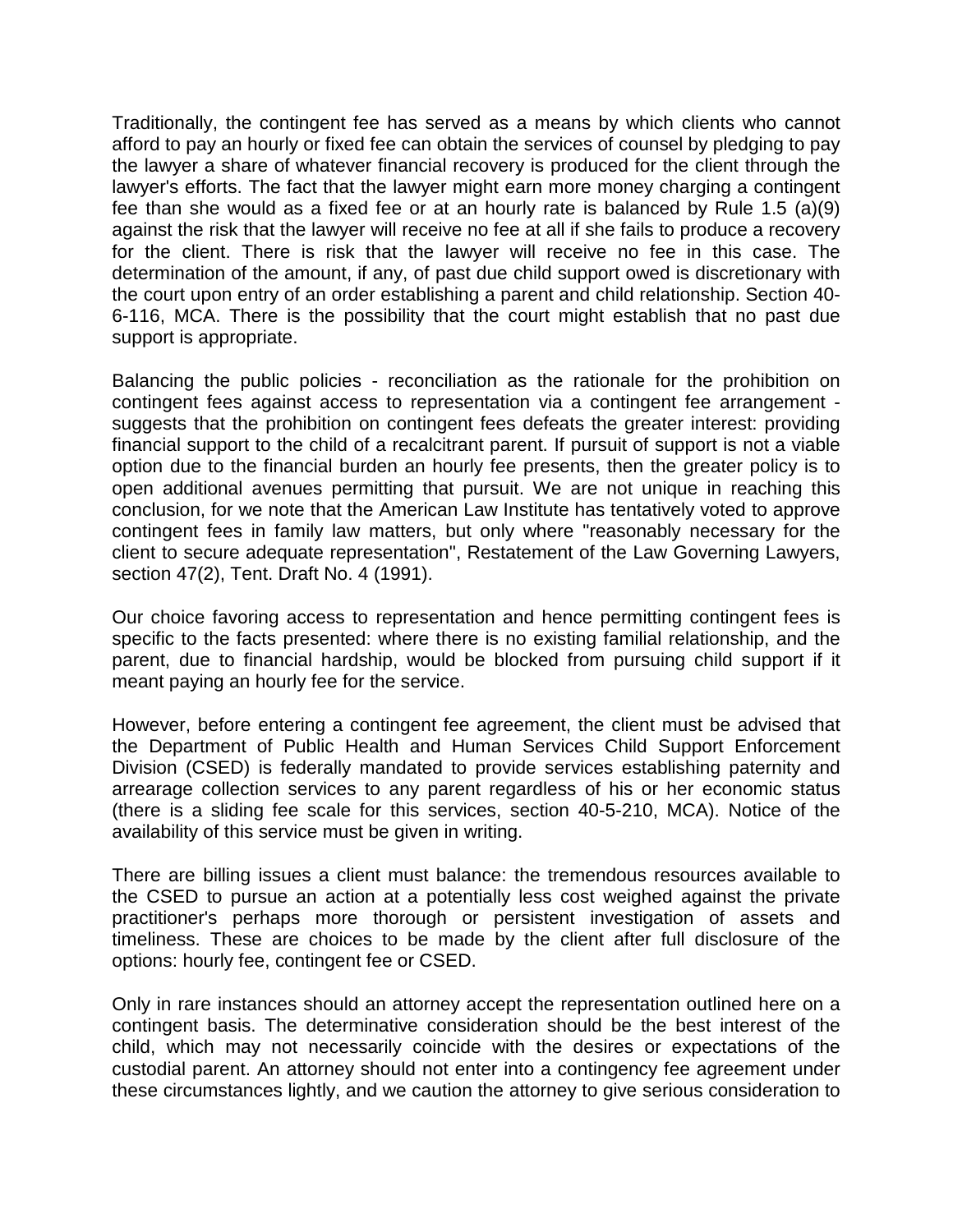Traditionally, the contingent fee has served as a means by which clients who cannot afford to pay an hourly or fixed fee can obtain the services of counsel by pledging to pay the lawyer a share of whatever financial recovery is produced for the client through the lawyer's efforts. The fact that the lawyer might earn more money charging a contingent fee than she would as a fixed fee or at an hourly rate is balanced by Rule 1.5 (a)(9) against the risk that the lawyer will receive no fee at all if she fails to produce a recovery for the client. There is risk that the lawyer will receive no fee in this case. The determination of the amount, if any, of past due child support owed is discretionary with the court upon entry of an order establishing a parent and child relationship. Section 40- 6-116, MCA. There is the possibility that the court might establish that no past due support is appropriate.

Balancing the public policies - reconciliation as the rationale for the prohibition on contingent fees against access to representation via a contingent fee arrangement suggests that the prohibition on contingent fees defeats the greater interest: providing financial support to the child of a recalcitrant parent. If pursuit of support is not a viable option due to the financial burden an hourly fee presents, then the greater policy is to open additional avenues permitting that pursuit. We are not unique in reaching this conclusion, for we note that the American Law Institute has tentatively voted to approve contingent fees in family law matters, but only where "reasonably necessary for the client to secure adequate representation", Restatement of the Law Governing Lawyers, section 47(2), Tent. Draft No. 4 (1991).

Our choice favoring access to representation and hence permitting contingent fees is specific to the facts presented: where there is no existing familial relationship, and the parent, due to financial hardship, would be blocked from pursuing child support if it meant paying an hourly fee for the service.

However, before entering a contingent fee agreement, the client must be advised that the Department of Public Health and Human Services Child Support Enforcement Division (CSED) is federally mandated to provide services establishing paternity and arrearage collection services to any parent regardless of his or her economic status (there is a sliding fee scale for this services, section 40-5-210, MCA). Notice of the availability of this service must be given in writing.

There are billing issues a client must balance: the tremendous resources available to the CSED to pursue an action at a potentially less cost weighed against the private practitioner's perhaps more thorough or persistent investigation of assets and timeliness. These are choices to be made by the client after full disclosure of the options: hourly fee, contingent fee or CSED.

Only in rare instances should an attorney accept the representation outlined here on a contingent basis. The determinative consideration should be the best interest of the child, which may not necessarily coincide with the desires or expectations of the custodial parent. An attorney should not enter into a contingency fee agreement under these circumstances lightly, and we caution the attorney to give serious consideration to